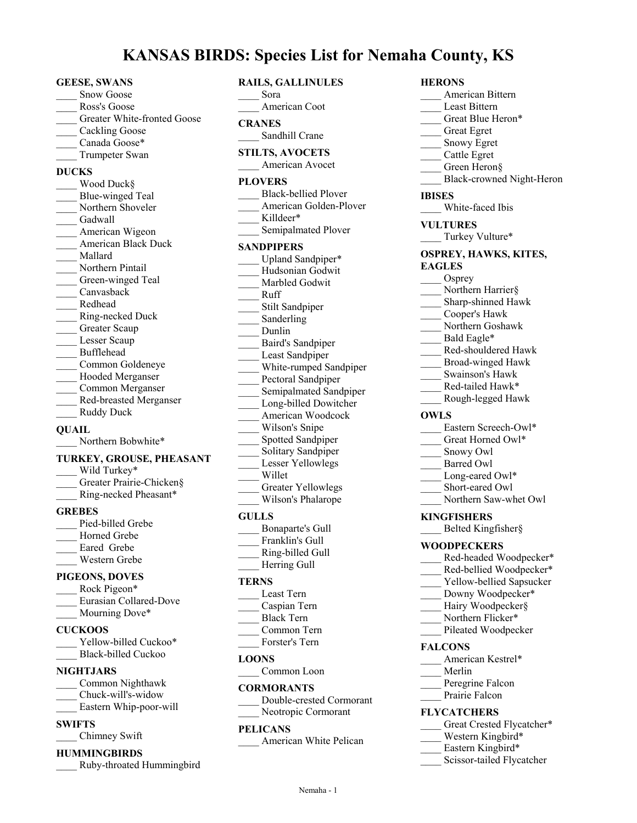# **KANSAS BIRDS: Species List for Nemaha County, KS**

#### **GEESE, SWANS**

- Snow Goose
- \_\_\_\_ Ross's Goose
- Greater White-fronted Goose
- Cackling Goose
- Canada Goose\*
- \_\_\_\_ Trumpeter Swan

# **DUCKS**

Wood Duck§ Blue-winged Teal Northern Shoveler Gadwall American Wigeon \_\_\_\_ American Black Duck \_\_\_\_ Mallard \_\_\_\_ Northern Pintail Green-winged Teal \_\_\_\_ Canvasback \_\_\_\_ Redhead \_\_\_\_ Ring-necked Duck Greater Scaup Lesser Scaup \_\_\_\_ Bufflehead \_\_\_\_ Common Goldeneye Hooded Merganser \_\_\_\_ Common Merganser \_\_\_\_ Red-breasted Merganser Ruddy Duck

# **QUAIL**

Northern Bobwhite\*

### **TURKEY, GROUSE, PHEASANT**

- Wild Turkey\* Greater Prairie-Chicken§ \_\_\_\_ Ring-necked Pheasant\*
- **GREBES**
- Pied-billed Grebe Horned Grebe Eared Grebe \_\_\_\_ Western Grebe

# **PIGEONS, DOVES**

| Rock Pigeon*           |
|------------------------|
| Eurasian Collared-Dove |
| Mourning Dove*         |

- **CUCKOOS**
- Yellow-billed Cuckoo\* Black-billed Cuckoo

# **NIGHTJARS**

- \_\_\_\_ Common Nighthawk \_\_\_\_ Chuck-will's-widow
- \_\_\_\_ Eastern Whip-poor-will
- **SWIFTS**
- \_\_\_\_ Chimney Swift

# **HUMMINGBIRDS**

\_\_\_\_ Ruby-throated Hummingbird

| <b>RAILS, GALLINULES</b><br>Sora    |
|-------------------------------------|
| American Coot                       |
| <b>CRANES</b><br>Sandhill Crane     |
| <b>STILTS, AVOCETS</b>              |
| American Avocet                     |
| <b>PLOVERS</b>                      |
| <b>Black-bellied Plover</b>         |
| American Golden-Plover<br>Killdeer* |
| Semipalmated Plover                 |
| <b>SANDPIPERS</b>                   |
| Upland Sandpiper*                   |
| Hudsonian Godwit                    |
| Marbled Godwit                      |
| Ruff                                |
| Stilt Sandpiper                     |
| Sanderling                          |
| Dunlin                              |
| Baird's Sandpiper                   |
| Least Sandpiper                     |
| White-rumped Sandpiper              |
| Pectoral Sandpiper                  |
| Semipalmated Sandpiper              |
| Long-billed Dowitcher               |
| American Woodcock                   |
| Wilson's Snipe                      |
| Spotted Sandpiper                   |
| Solitary Sandpiper                  |
| Lesser Yellowlegs<br>Willet         |
|                                     |

Greater Yellowlegs \_\_\_\_ Wilson's Phalarope

# **GULLS**

- \_\_\_\_ Bonaparte's Gull Franklin's Gull
- \_\_\_\_ Ring-billed Gull
- \_\_\_\_ Herring Gull

# **TERNS**

- \_\_\_\_ Least Tern \_\_\_\_ Caspian Tern \_\_\_\_ Black Tern
- \_\_\_\_ Common Tern
- Forster's Tern

# **LOONS**

Common Loon

# **CORMORANTS**

\_\_\_\_ Double-crested Cormorant Neotropic Cormorant

# **PELICANS**

American White Pelican

| <b>HERONS</b>                      |
|------------------------------------|
| American Bittern                   |
| Least Bittern                      |
| Great Blue Heron*                  |
|                                    |
| Great Egret<br>Snowy Egret         |
| Cattle Egret                       |
| Green Heron§                       |
| Black-crowned Night-Heron          |
| <b>IBISES</b>                      |
| White-faced Ibis                   |
| <b>VULTURES</b>                    |
| Turkey Vulture*                    |
| OSPREY, HAWKS, KITES,              |
| <b>EAGLES</b>                      |
| Osprey                             |
| Northern Harrier§                  |
| Sharp-shinned Hawk                 |
| Cooper's Hawk                      |
| Northern Goshawk                   |
| Bald Eagle*                        |
| Red-shouldered Hawk                |
| Broad-winged Hawk                  |
| Swainson's Hawk                    |
| Red-tailed Hawk*                   |
| _Rough-legged Hawk                 |
| <b>OWLS</b>                        |
| Eastern Screech-Owl*               |
| Great Horned Owl*                  |
| Snowy Owl                          |
| Barred Owl                         |
| Long-eared Owl*<br>Short-eared Owl |
|                                    |
| Northern Saw-whet Owl              |
| <b>KINGFISHERS</b>                 |
| Belted Kingfisher§                 |
| <b>WOODPECKERS</b>                 |
| _Red-headed Woodpecker*            |
| Red-bellied Woodpecker*            |
| Vellow hellied Sanguelar           |

- Yellow-bellied S
- Downy Woodpecker\*
- Hairy Woodpecker§
- Northern Flicker\*
- Pileated Woodpecker

# **FALCONS**

- American Kestrel\*
- \_\_\_\_ Merlin
- Peregrine Falcon
- Prairie Falcon

# **FLYCATCHERS**

- Great Crested Flycatcher\*
- Western Kingbird\*
- Eastern Kingbird\*
- Scissor-tailed Flycatcher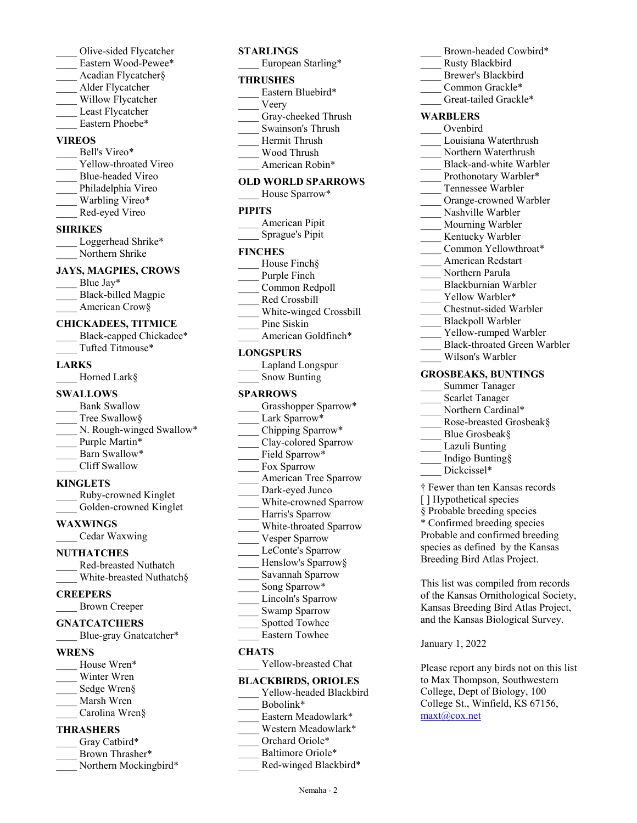- Olive-sided Flycatcher Eastern Wood-Pewee\* \_\_\_\_ Acadian Flycatcher§ \_\_\_\_ Alder Flycatcher Willow Flycatcher Least Flycatcher Eastern Phoebe\* **VIREOS** Bell's Vireo\* Yellow-throated Vireo \_\_\_\_ Blue-headed Vireo Philadelphia Vireo Warbling Vireo\* \_\_\_\_ Red-eyed Vireo **SHRIKES** Loggerhead Shrike\* Northern Shrike **JAYS, MAGPIES, CROWS** Blue Jay\* \_\_\_\_ Black-billed Magpie American Crow§ **CHICKADEES, TITMICE** Black-capped Chickadee\* \_\_\_\_ Tufted Titmouse\* **LARKS** Horned Lark§ **SWALLOWS** Bank Swallow Tree Swallow§ N. Rough-winged Swallow\* Purple Martin\* Barn Swallow\* \_\_\_\_ Cliff Swallow **KINGLETS** \_\_\_\_ Ruby-crowned Kinglet Golden-crowned Kinglet **WAXWINGS** \_\_\_\_ Cedar Waxwing **NUTHATCHES** \_\_\_\_ Red-breasted Nuthatch White-breasted Nuthatch§ **CREEPERS** \_\_\_\_ Brown Creeper **GNATCATCHERS** Blue-gray Gnatcatcher\* **WRENS**
- House Wren\* Winter Wren
- Sedge Wren§
- Marsh Wren
- Carolina Wren§

### **THRASHERS**

- Gray Catbird\*
- \_\_\_\_ Brown Thrasher\*
- Northern Mockingbird\*
- **STARLINGS** European Starling\* **THRUSHES** Eastern Bluebird\* \_\_\_\_ Veery Gray-cheeked Thrush \_\_\_\_ Swainson's Thrush \_\_\_\_ Hermit Thrush \_\_\_\_ Wood Thrush American Robin\* **OLD WORLD SPARROWS** House Sparrow\* **PIPITS** American Pipit \_\_\_\_ Sprague's Pipit **FINCHES** House Finch§ Purple Finch \_\_\_\_ Common Redpoll \_\_\_\_ Red Crossbill \_\_\_\_ White-winged Crossbill Pine Siskin American Goldfinch\* **LONGSPURS** \_\_\_\_ Lapland Longspur Snow Bunting **SPARROWS** Grasshopper Sparrow\* Lark Sparrow\* \_\_\_\_ Chipping Sparrow\* Clay-colored Sparrow Field Sparrow\* \_\_\_\_ Fox Sparrow \_\_\_\_ American Tree Sparrow Dark-eyed Junco White-crowned Sparrow Harris's Sparrow
- \_\_\_\_ White-throated Sparrow Vesper Sparrow LeConte's Sparrow Henslow's Sparrow§
- \_\_\_\_ Savannah Sparrow
- Song Sparrow\*
- Lincoln's Sparrow
- Swamp Sparrow
- Spotted Towhee
- \_\_\_\_ Eastern Towhee

### **CHATS**

Yellow-breasted Chat

# **BLACKBIRDS, ORIOLES**

- Yellow-headed Blackbird Bobolink\* Eastern Meadowlark\* Western Meadowlark\*
- Orchard Oriole\*
- Baltimore Oriole\*
- Red-winged Blackbird\*

\_\_\_\_ Rusty Blackbird Brewer's Blackbird Common Grackle\* Great-tailed Grackle\* **WARBLERS** \_\_\_\_ Ovenbird \_\_\_\_ Louisiana Waterthrush Northern Waterthrush Black-and-white Warbler Prothonotary Warbler\* \_\_\_\_ Tennessee Warbler Orange-crowned Warbler Nashville Warbler Mourning Warbler Kentucky Warbler Common Yellowthroat\* \_\_\_\_ American Redstart Northern Parula \_\_\_\_ Blackburnian Warbler Yellow Warbler\* \_\_\_\_ Chestnut-sided Warbler Blackpoll Warbler Yellow-rumped Warbler \_\_\_\_ Black-throated Green Warbler \_\_\_\_ Wilson's Warbler **GROSBEAKS, BUNTINGS** \_\_\_\_ Summer Tanager Scarlet Tanager Northern Cardinal\* Rose-breasted Grosbeak§ Blue Grosbeak§ Lazuli Bunting \_\_\_\_ Indigo Bunting§ Dickcissel\* † Fewer than ten Kansas records [ ] Hypothetical species

Brown-headed Cowbird\*

§ Probable breeding species

\* Confirmed breeding species Probable and confirmed breeding

species as defined by the Kansas Breeding Bird Atlas Project.

This list was compiled from records of the Kansas Ornithological Society, Kansas Breeding Bird Atlas Project, and the Kansas Biological Survey.

January 1, 2022

Please report any birds not on this list to Max Thompson, Southwestern College, Dept of Biology, 100 College St., Winfield, KS 67156, maxt@cox.net